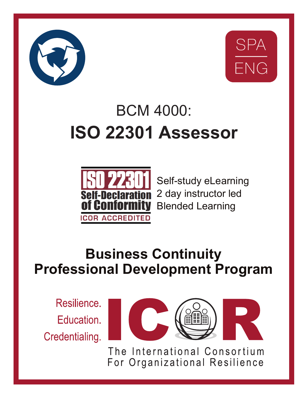



# BCM 4000: **ISO 22301 Assessor**



Self-study eLearning 2 day instructor led Blended Learning

## **Business Continuity Professional Development Program**

Resilience. Education. Credentialing.



The International Consortium For Organizational Resilience